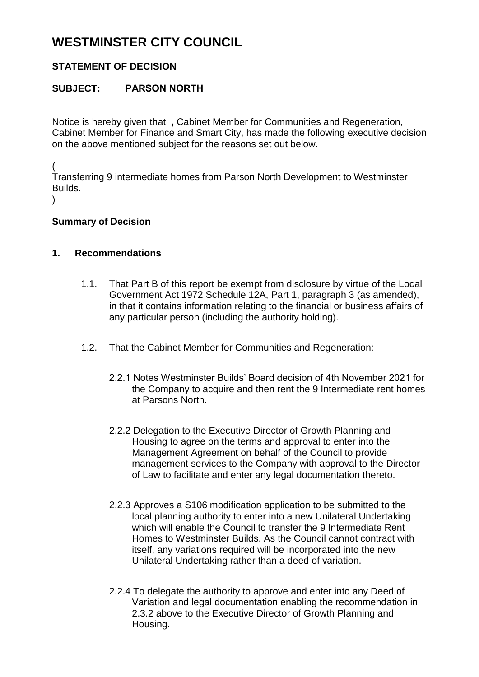# **WESTMINSTER CITY COUNCIL**

## **STATEMENT OF DECISION**

### **SUBJECT: PARSON NORTH**

Notice is hereby given that **,** Cabinet Member for Communities and Regeneration, Cabinet Member for Finance and Smart City, has made the following executive decision on the above mentioned subject for the reasons set out below.

(

Transferring 9 intermediate homes from Parson North Development to Westminster Builds.

 $\lambda$ 

#### **Summary of Decision**

#### **1. Recommendations**

- 1.1. That Part B of this report be exempt from disclosure by virtue of the Local Government Act 1972 Schedule 12A, Part 1, paragraph 3 (as amended), in that it contains information relating to the financial or business affairs of any particular person (including the authority holding).
- 1.2. That the Cabinet Member for Communities and Regeneration:
	- 2.2.1 Notes Westminster Builds' Board decision of 4th November 2021 for the Company to acquire and then rent the 9 Intermediate rent homes at Parsons North.
	- 2.2.2 Delegation to the Executive Director of Growth Planning and Housing to agree on the terms and approval to enter into the Management Agreement on behalf of the Council to provide management services to the Company with approval to the Director of Law to facilitate and enter any legal documentation thereto.
	- 2.2.3 Approves a S106 modification application to be submitted to the local planning authority to enter into a new Unilateral Undertaking which will enable the Council to transfer the 9 Intermediate Rent Homes to Westminster Builds. As the Council cannot contract with itself, any variations required will be incorporated into the new Unilateral Undertaking rather than a deed of variation.
	- 2.2.4 To delegate the authority to approve and enter into any Deed of Variation and legal documentation enabling the recommendation in 2.3.2 above to the Executive Director of Growth Planning and Housing.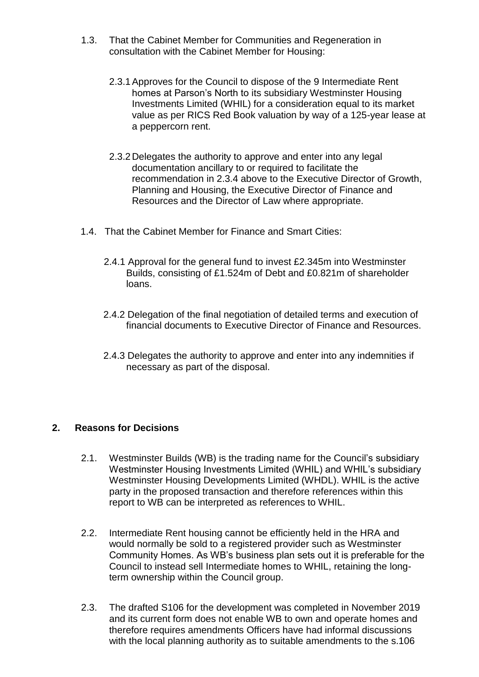- 1.3. That the Cabinet Member for Communities and Regeneration in consultation with the Cabinet Member for Housing:
	- 2.3.1Approves for the Council to dispose of the 9 Intermediate Rent homes at Parson's North to its subsidiary Westminster Housing Investments Limited (WHIL) for a consideration equal to its market value as per RICS Red Book valuation by way of a 125-year lease at a peppercorn rent.
	- 2.3.2Delegates the authority to approve and enter into any legal documentation ancillary to or required to facilitate the recommendation in 2.3.4 above to the Executive Director of Growth, Planning and Housing, the Executive Director of Finance and Resources and the Director of Law where appropriate.
- 1.4. That the Cabinet Member for Finance and Smart Cities:
	- 2.4.1 Approval for the general fund to invest £2.345m into Westminster Builds, consisting of £1.524m of Debt and £0.821m of shareholder loans.
	- 2.4.2 Delegation of the final negotiation of detailed terms and execution of financial documents to Executive Director of Finance and Resources.
	- 2.4.3 Delegates the authority to approve and enter into any indemnities if necessary as part of the disposal.

#### **2. Reasons for Decisions**

- 2.1. Westminster Builds (WB) is the trading name for the Council's subsidiary Westminster Housing Investments Limited (WHIL) and WHIL's subsidiary Westminster Housing Developments Limited (WHDL). WHIL is the active party in the proposed transaction and therefore references within this report to WB can be interpreted as references to WHIL.
- 2.2. Intermediate Rent housing cannot be efficiently held in the HRA and would normally be sold to a registered provider such as Westminster Community Homes. As WB's business plan sets out it is preferable for the Council to instead sell Intermediate homes to WHIL, retaining the longterm ownership within the Council group.
- 2.3. The drafted S106 for the development was completed in November 2019 and its current form does not enable WB to own and operate homes and therefore requires amendments Officers have had informal discussions with the local planning authority as to suitable amendments to the s.106